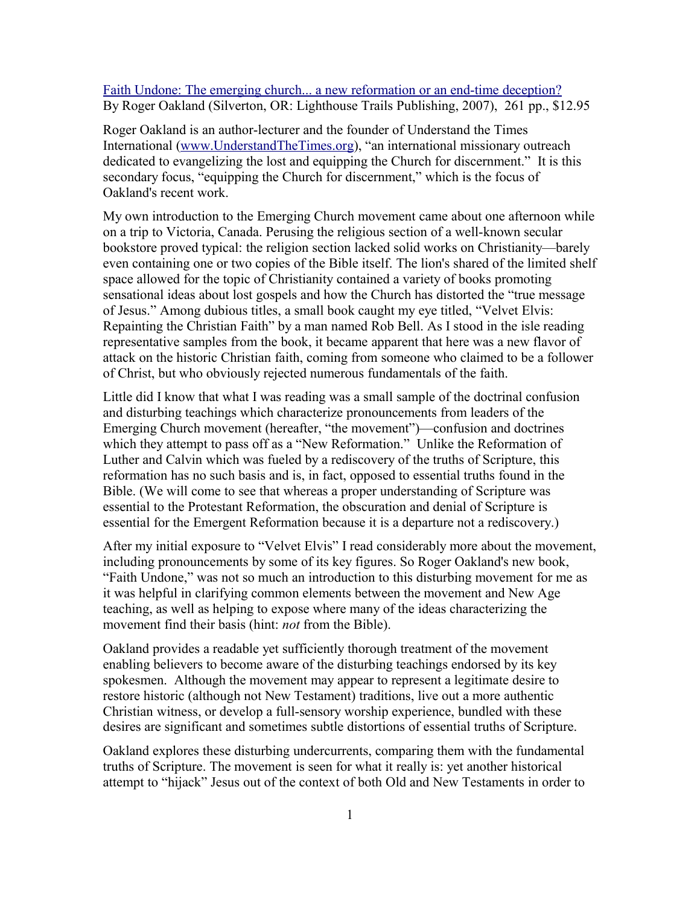[Faith Undone: The emerging church... a new reformation or an end-time deception?](http://www.bestbookdeal.com/book/compare/0979131510) By Roger Oakland (Silverton, OR: Lighthouse Trails Publishing, 2007), 261 pp., \$12.95

Roger Oakland is an author-lecturer and the founder of Understand the Times International [\(www.UnderstandTheTimes.org\)](http://www.UnderstandTheTimes.org/), "an international missionary outreach dedicated to evangelizing the lost and equipping the Church for discernment." It is this secondary focus, "equipping the Church for discernment," which is the focus of Oakland's recent work.

My own introduction to the Emerging Church movement came about one afternoon while on a trip to Victoria, Canada. Perusing the religious section of a well-known secular bookstore proved typical: the religion section lacked solid works on Christianity—barely even containing one or two copies of the Bible itself. The lion's shared of the limited shelf space allowed for the topic of Christianity contained a variety of books promoting sensational ideas about lost gospels and how the Church has distorted the "true message of Jesus." Among dubious titles, a small book caught my eye titled, "Velvet Elvis: Repainting the Christian Faith" by a man named Rob Bell. As I stood in the isle reading representative samples from the book, it became apparent that here was a new flavor of attack on the historic Christian faith, coming from someone who claimed to be a follower of Christ, but who obviously rejected numerous fundamentals of the faith.

Little did I know that what I was reading was a small sample of the doctrinal confusion and disturbing teachings which characterize pronouncements from leaders of the Emerging Church movement (hereafter, "the movement")—confusion and doctrines which they attempt to pass off as a "New Reformation." Unlike the Reformation of Luther and Calvin which was fueled by a rediscovery of the truths of Scripture, this reformation has no such basis and is, in fact, opposed to essential truths found in the Bible. (We will come to see that whereas a proper understanding of Scripture was essential to the Protestant Reformation, the obscuration and denial of Scripture is essential for the Emergent Reformation because it is a departure not a rediscovery.)

After my initial exposure to "Velvet Elvis" I read considerably more about the movement, including pronouncements by some of its key figures. So Roger Oakland's new book, "Faith Undone," was not so much an introduction to this disturbing movement for me as it was helpful in clarifying common elements between the movement and New Age teaching, as well as helping to expose where many of the ideas characterizing the movement find their basis (hint: *not* from the Bible).

Oakland provides a readable yet sufficiently thorough treatment of the movement enabling believers to become aware of the disturbing teachings endorsed by its key spokesmen. Although the movement may appear to represent a legitimate desire to restore historic (although not New Testament) traditions, live out a more authentic Christian witness, or develop a full-sensory worship experience, bundled with these desires are significant and sometimes subtle distortions of essential truths of Scripture.

Oakland explores these disturbing undercurrents, comparing them with the fundamental truths of Scripture. The movement is seen for what it really is: yet another historical attempt to "hijack" Jesus out of the context of both Old and New Testaments in order to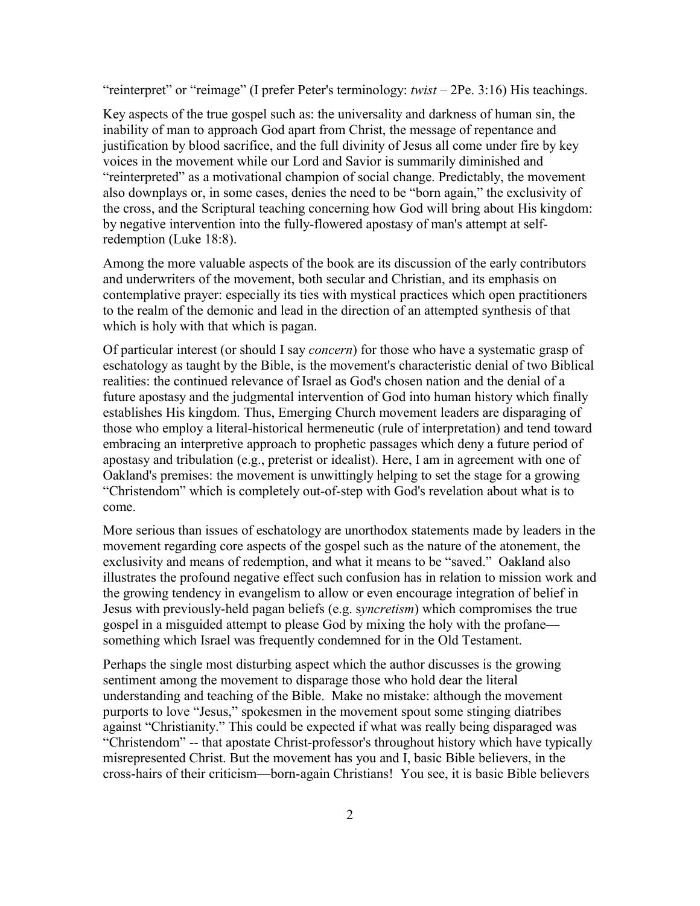"reinterpret" or "reimage" (I prefer Peter's terminology: *twist* – 2Pe. 3:16) His teachings.

Key aspects of the true gospel such as: the universality and darkness of human sin, the inability of man to approach God apart from Christ, the message of repentance and justification by blood sacrifice, and the full divinity of Jesus all come under fire by key voices in the movement while our Lord and Savior is summarily diminished and "reinterpreted" as a motivational champion of social change. Predictably, the movement also downplays or, in some cases, denies the need to be "born again," the exclusivity of the cross, and the Scriptural teaching concerning how God will bring about His kingdom: by negative intervention into the fully-flowered apostasy of man's attempt at selfredemption (Luke 18:8).

Among the more valuable aspects of the book are its discussion of the early contributors and underwriters of the movement, both secular and Christian, and its emphasis on contemplative prayer: especially its ties with mystical practices which open practitioners to the realm of the demonic and lead in the direction of an attempted synthesis of that which is holy with that which is pagan.

Of particular interest (or should I say *concern*) for those who have a systematic grasp of eschatology as taught by the Bible, is the movement's characteristic denial of two Biblical realities: the continued relevance of Israel as God's chosen nation and the denial of a future apostasy and the judgmental intervention of God into human history which finally establishes His kingdom. Thus, Emerging Church movement leaders are disparaging of those who employ a literal-historical hermeneutic (rule of interpretation) and tend toward embracing an interpretive approach to prophetic passages which deny a future period of apostasy and tribulation (e.g., preterist or idealist). Here, I am in agreement with one of Oakland's premises: the movement is unwittingly helping to set the stage for a growing "Christendom" which is completely out-of-step with God's revelation about what is to come.

More serious than issues of eschatology are unorthodox statements made by leaders in the movement regarding core aspects of the gospel such as the nature of the atonement, the exclusivity and means of redemption, and what it means to be "saved." Oakland also illustrates the profound negative effect such confusion has in relation to mission work and the growing tendency in evangelism to allow or even encourage integration of belief in Jesus with previously-held pagan beliefs (e.g. s*yncretism*) which compromises the true gospel in a misguided attempt to please God by mixing the holy with the profane something which Israel was frequently condemned for in the Old Testament.

Perhaps the single most disturbing aspect which the author discusses is the growing sentiment among the movement to disparage those who hold dear the literal understanding and teaching of the Bible. Make no mistake: although the movement purports to love "Jesus," spokesmen in the movement spout some stinging diatribes against "Christianity." This could be expected if what was really being disparaged was "Christendom" -- that apostate Christ-professor's throughout history which have typically misrepresented Christ. But the movement has you and I, basic Bible believers, in the cross-hairs of their criticism—born-again Christians! You see, it is basic Bible believers